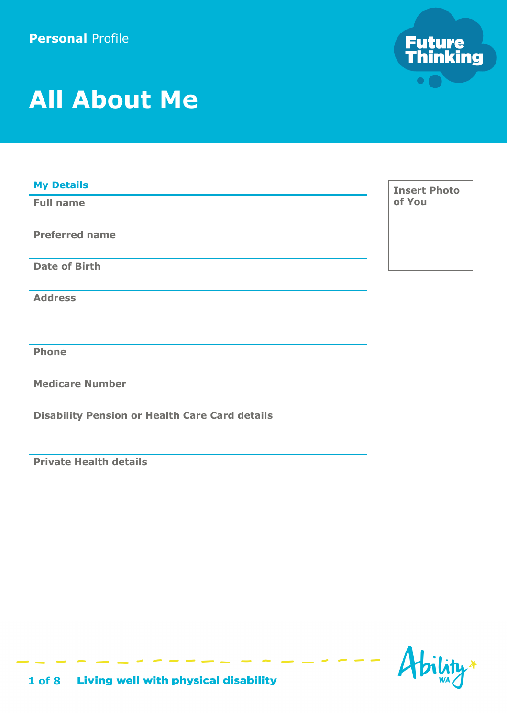

# **All About Me**

| <b>My Details</b>                                     | <b>Insert Photo</b> |
|-------------------------------------------------------|---------------------|
| <b>Full name</b>                                      | of You              |
|                                                       |                     |
| <b>Preferred name</b>                                 |                     |
|                                                       |                     |
| <b>Date of Birth</b>                                  |                     |
|                                                       |                     |
| <b>Address</b>                                        |                     |
|                                                       |                     |
|                                                       |                     |
| <b>Phone</b>                                          |                     |
|                                                       |                     |
| <b>Medicare Number</b>                                |                     |
|                                                       |                     |
| <b>Disability Pension or Health Care Card details</b> |                     |

**Private Health details** 

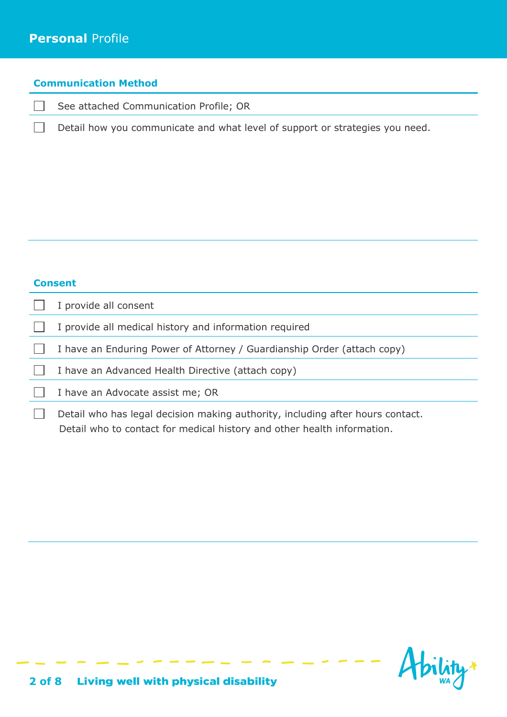#### **Communication Method**

 $\Box$ See attached Communication Profile; OR

Detail how you communicate and what level of support or strategies you need.

| one<br>an<br>٠ |  |
|----------------|--|
|----------------|--|

 $\Box$ 

|  |  | I provide all consent |  |  |
|--|--|-----------------------|--|--|
|--|--|-----------------------|--|--|

- I provide all medical history and information required  $\perp$
- $\Box$ I have an Enduring Power of Attorney / Guardianship Order (attach copy)
- $\Box$ I have an Advanced Health Directive (attach copy)
- $\Box$ I have an Advocate assist me; OR
- $\Box$ Detail who has legal decision making authority, including after hours contact. Detail who to contact for medical history and other health information.

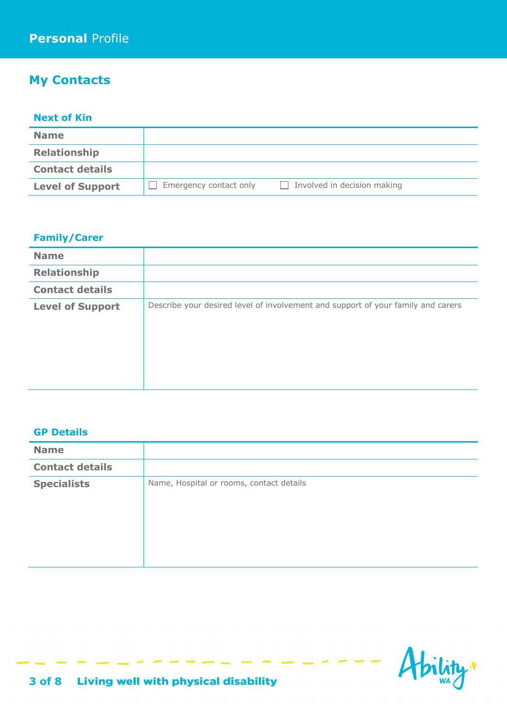## **My Contacts**

#### **Next of Kin**

| <b>Name</b>             |                        |                             |
|-------------------------|------------------------|-----------------------------|
| <b>Relationship</b>     |                        |                             |
| <b>Contact details</b>  |                        |                             |
| <b>Level of Support</b> | Emergency contact only | Involved in decision making |

#### **Family/Carer**

| <b>Name</b>             |                                                                                  |
|-------------------------|----------------------------------------------------------------------------------|
| Relationship            |                                                                                  |
| <b>Contact details</b>  |                                                                                  |
| <b>Level of Support</b> | Describe your desired level of involvement and support of your family and carers |

#### **GP Details**

| <b>Name</b>            |                                          |
|------------------------|------------------------------------------|
| <b>Contact details</b> |                                          |
| <b>Specialists</b>     | Name, Hospital or rooms, contact details |

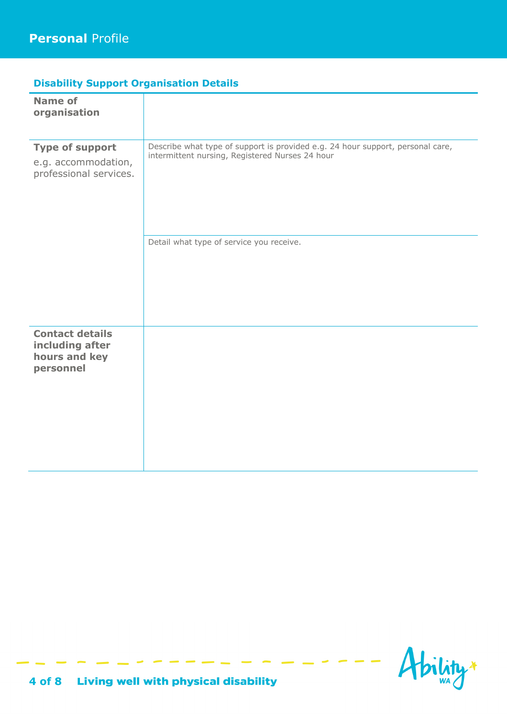## **Disability Support Organisation Details**

| <b>Name of</b><br>organisation                                          |                                                                                                                                                                               |
|-------------------------------------------------------------------------|-------------------------------------------------------------------------------------------------------------------------------------------------------------------------------|
| <b>Type of support</b><br>e.g. accommodation,<br>professional services. | Describe what type of support is provided e.g. 24 hour support, personal care,<br>intermittent nursing, Registered Nurses 24 hour<br>Detail what type of service you receive. |
|                                                                         |                                                                                                                                                                               |
| <b>Contact details</b><br>including after<br>hours and key<br>personnel |                                                                                                                                                                               |

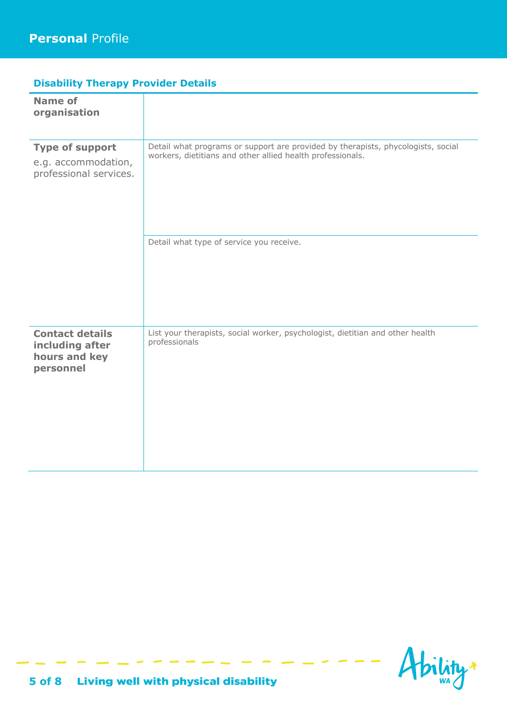## **Disability Therapy Provider Details**

| <b>Name of</b><br>organisation                                          |                                                                                                                                                                                            |
|-------------------------------------------------------------------------|--------------------------------------------------------------------------------------------------------------------------------------------------------------------------------------------|
| <b>Type of support</b><br>e.g. accommodation,<br>professional services. | Detail what programs or support are provided by therapists, phycologists, social<br>workers, dietitians and other allied health professionals.<br>Detail what type of service you receive. |
|                                                                         |                                                                                                                                                                                            |
| <b>Contact details</b><br>including after<br>hours and key<br>personnel | List your therapists, social worker, psychologist, dietitian and other health<br>professionals                                                                                             |

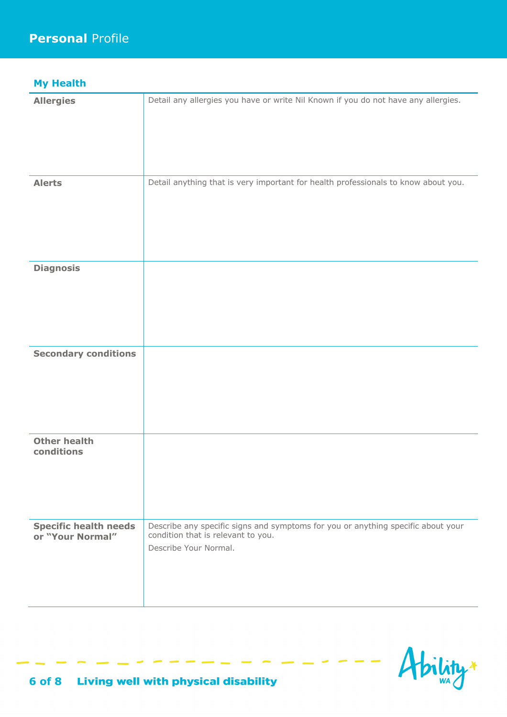## **My Health**

| <b>Allergies</b>                                 | Detail any allergies you have or write Nil Known if you do not have any allergies.                                                              |
|--------------------------------------------------|-------------------------------------------------------------------------------------------------------------------------------------------------|
|                                                  |                                                                                                                                                 |
| <b>Alerts</b>                                    | Detail anything that is very important for health professionals to know about you.                                                              |
| <b>Diagnosis</b>                                 |                                                                                                                                                 |
|                                                  |                                                                                                                                                 |
| <b>Secondary conditions</b>                      |                                                                                                                                                 |
|                                                  |                                                                                                                                                 |
| <b>Other health</b>                              |                                                                                                                                                 |
| conditions                                       |                                                                                                                                                 |
| <b>Specific health needs</b><br>or "Your Normal" | Describe any specific signs and symptoms for you or anything specific about your<br>condition that is relevant to you.<br>Describe Your Normal. |

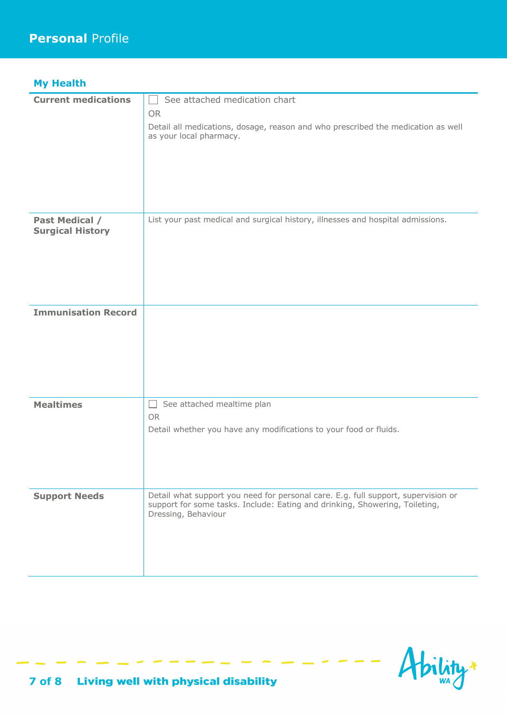| <b>My Health</b>                          |                                                                                                                                                                                         |
|-------------------------------------------|-----------------------------------------------------------------------------------------------------------------------------------------------------------------------------------------|
| <b>Current medications</b>                | See attached medication chart<br><b>OR</b><br>Detail all medications, dosage, reason and who prescribed the medication as well<br>as your local pharmacy.                               |
| Past Medical /<br><b>Surgical History</b> | List your past medical and surgical history, illnesses and hospital admissions.                                                                                                         |
| <b>Immunisation Record</b>                |                                                                                                                                                                                         |
| <b>Mealtimes</b>                          | See attached mealtime plan<br>$\perp$<br><b>OR</b><br>Detail whether you have any modifications to your food or fluids.                                                                 |
| <b>Support Needs</b>                      | Detail what support you need for personal care. E.g. full support, supervision or<br>support for some tasks. Include: Eating and drinking, Showering, Toileting,<br>Dressing, Behaviour |